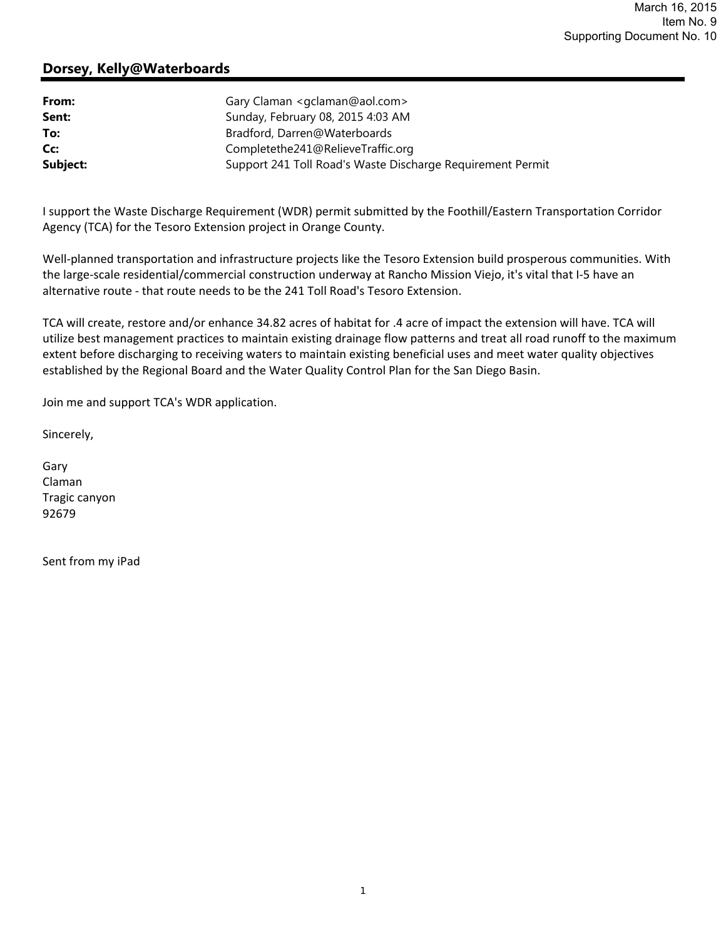## **Dorsey, Kelly@Waterboards**

| From:    | Gary Claman < gclaman@aol.com>                             |
|----------|------------------------------------------------------------|
| Sent:    | Sunday, February 08, 2015 4:03 AM                          |
| To:      | Bradford, Darren@Waterboards                               |
| Cc:      | Completethe241@RelieveTraffic.org                          |
| Subject: | Support 241 Toll Road's Waste Discharge Requirement Permit |

I support the Waste Discharge Requirement (WDR) permit submitted by the Foothill/Eastern Transportation Corridor Agency (TCA) for the Tesoro Extension project in Orange County.

Well-planned transportation and infrastructure projects like the Tesoro Extension build prosperous communities. With the large‐scale residential/commercial construction underway at Rancho Mission Viejo, it's vital that I‐5 have an alternative route ‐ that route needs to be the 241 Toll Road's Tesoro Extension.

TCA will create, restore and/or enhance 34.82 acres of habitat for .4 acre of impact the extension will have. TCA will utilize best management practices to maintain existing drainage flow patterns and treat all road runoff to the maximum extent before discharging to receiving waters to maintain existing beneficial uses and meet water quality objectives established by the Regional Board and the Water Quality Control Plan for the San Diego Basin.

Join me and support TCA's WDR application.

Sincerely,

Gary Claman Tragic canyon 92679

Sent from my iPad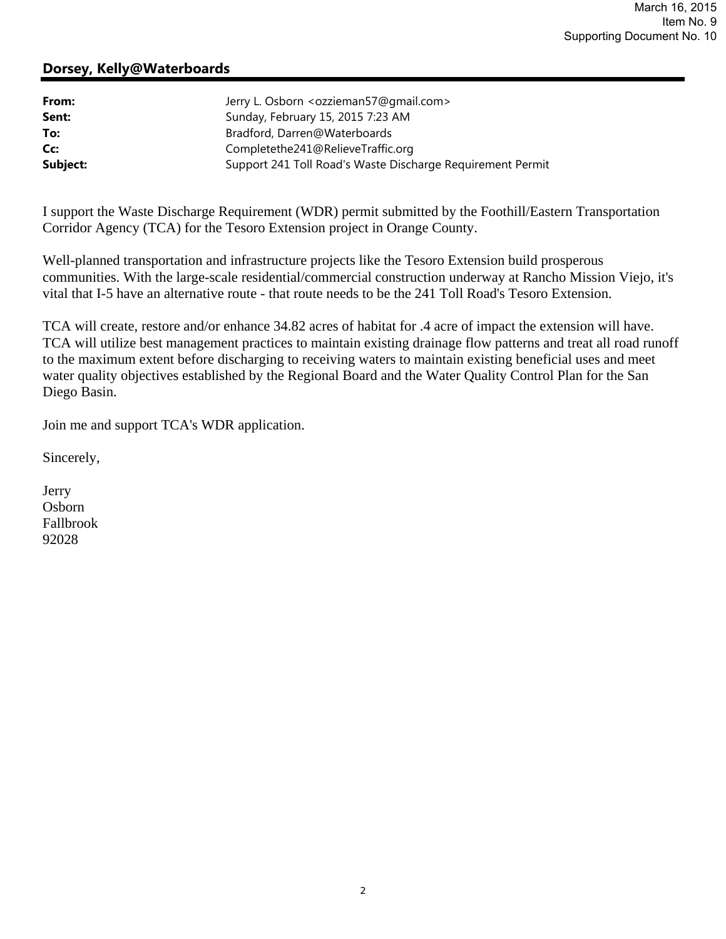## **Dorsey, Kelly@Waterboards**

| From:    | Jerry L. Osborn <ozzieman57@gmail.com></ozzieman57@gmail.com> |
|----------|---------------------------------------------------------------|
| Sent:    | Sunday, February 15, 2015 7:23 AM                             |
| To:      | Bradford, Darren@Waterboards                                  |
| Cc:      | Completethe241@RelieveTraffic.org                             |
| Subject: | Support 241 Toll Road's Waste Discharge Requirement Permit    |

I support the Waste Discharge Requirement (WDR) permit submitted by the Foothill/Eastern Transportation Corridor Agency (TCA) for the Tesoro Extension project in Orange County.

Well-planned transportation and infrastructure projects like the Tesoro Extension build prosperous communities. With the large-scale residential/commercial construction underway at Rancho Mission Viejo, it's vital that I-5 have an alternative route - that route needs to be the 241 Toll Road's Tesoro Extension.

TCA will create, restore and/or enhance 34.82 acres of habitat for .4 acre of impact the extension will have. TCA will utilize best management practices to maintain existing drainage flow patterns and treat all road runoff to the maximum extent before discharging to receiving waters to maintain existing beneficial uses and meet water quality objectives established by the Regional Board and the Water Quality Control Plan for the San Diego Basin.

Join me and support TCA's WDR application.

Sincerely,

Jerry Osborn Fallbrook 92028